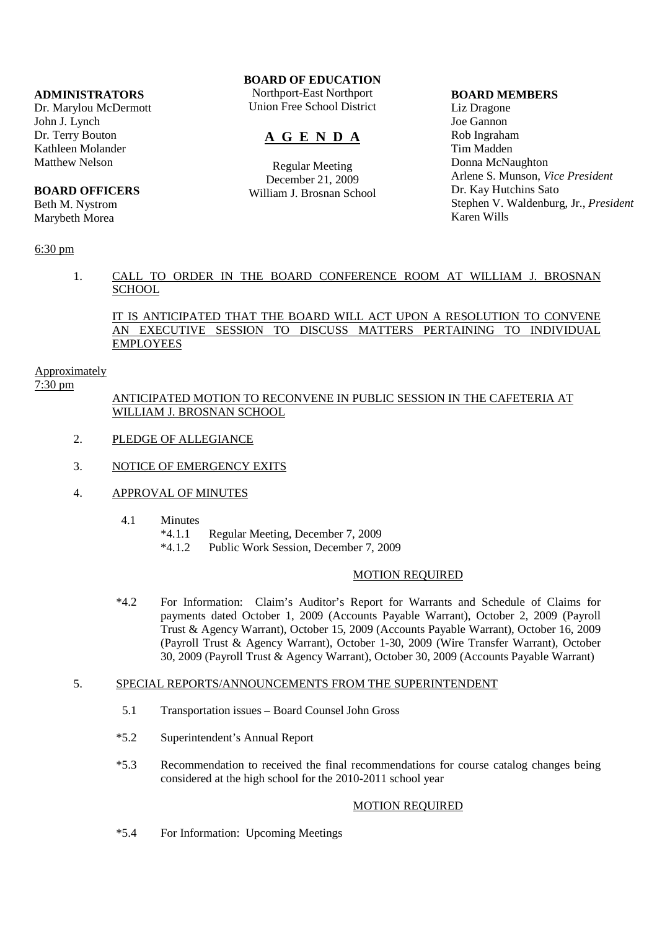# **ADMINISTRATORS**

Dr. Marylou McDermott John J. Lynch Dr. Terry Bouton Kathleen Molander Matthew Nelson

#### **BOARD OFFICERS**

Beth M. Nystrom Marybeth Morea

# 6:30 pm

# **BOARD OF EDUCATION**

Northport-East Northport Union Free School District

# **A G E N D A**

Regular Meeting December 21, 2009 William J. Brosnan School

### **BOARD MEMBERS**

Liz Dragone Joe Gannon Rob Ingraham Tim Madden Donna McNaughton Arlene S. Munson, *Vice President* Dr. Kay Hutchins Sato Stephen V. Waldenburg, Jr., *President* Karen Wills

# 1. CALL TO ORDER IN THE BOARD CONFERENCE ROOM AT WILLIAM J. BROSNAN **SCHOOL**

# IT IS ANTICIPATED THAT THE BOARD WILL ACT UPON A RESOLUTION TO CONVENE AN EXECUTIVE SESSION TO DISCUSS MATTERS PERTAINING TO INDIVIDUAL EMPLOYEES

# Approximately

7:30 pm

# ANTICIPATED MOTION TO RECONVENE IN PUBLIC SESSION IN THE CAFETERIA AT WILLIAM J. BROSNAN SCHOOL

- 2. PLEDGE OF ALLEGIANCE
- 3. NOTICE OF EMERGENCY EXITS
- 4. APPROVAL OF MINUTES
	- 4.1 Minutes
		- \*4.1.1 Regular Meeting, December 7, 2009
		- \*4.1.2 Public Work Session, December 7, 2009

### MOTION REQUIRED

 \*4.2 For Information: Claim's Auditor's Report for Warrants and Schedule of Claims for payments dated October 1, 2009 (Accounts Payable Warrant), October 2, 2009 (Payroll Trust & Agency Warrant), October 15, 2009 (Accounts Payable Warrant), October 16, 2009 (Payroll Trust & Agency Warrant), October 1-30, 2009 (Wire Transfer Warrant), October 30, 2009 (Payroll Trust & Agency Warrant), October 30, 2009 (Accounts Payable Warrant)

# 5. SPECIAL REPORTS/ANNOUNCEMENTS FROM THE SUPERINTENDENT

- 5.1 Transportation issues Board Counsel John Gross
- \*5.2 Superintendent's Annual Report
- \*5.3 Recommendation to received the final recommendations for course catalog changes being considered at the high school for the 2010-2011 school year

## MOTION REQUIRED

\*5.4 For Information: Upcoming Meetings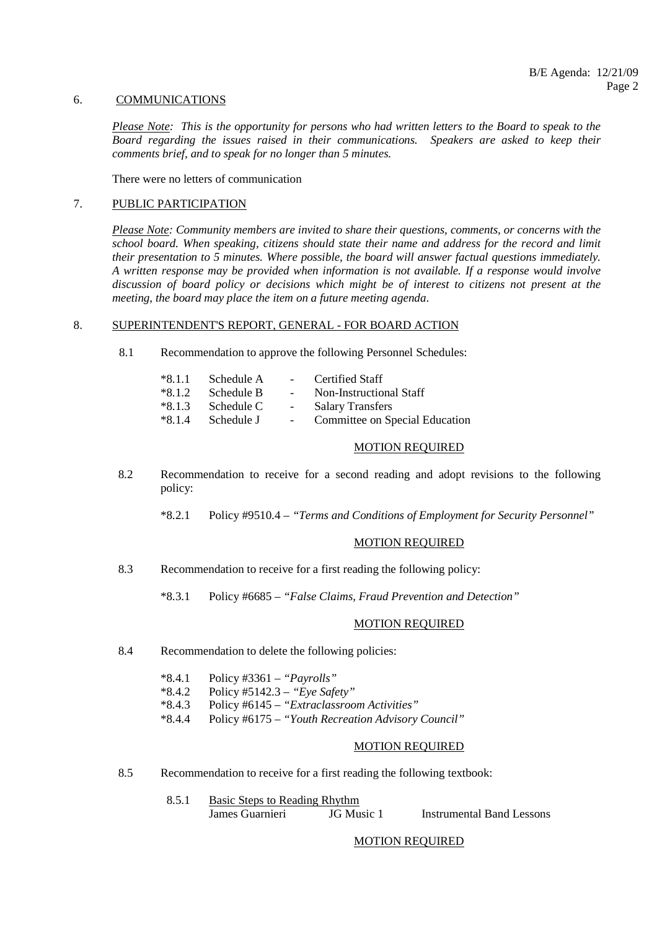# 6. COMMUNICATIONS

*Please Note: This is the opportunity for persons who had written letters to the Board to speak to the Board regarding the issues raised in their communications. Speakers are asked to keep their comments brief, and to speak for no longer than 5 minutes.*

There were no letters of communication

# 7. PUBLIC PARTICIPATION

*Please Note: Community members are invited to share their questions, comments, or concerns with the school board. When speaking, citizens should state their name and address for the record and limit their presentation to 5 minutes. Where possible, the board will answer factual questions immediately. A written response may be provided when information is not available. If a response would involve discussion of board policy or decisions which might be of interest to citizens not present at the meeting, the board may place the item on a future meeting agenda*.

#### 8. SUPERINTENDENT'S REPORT, GENERAL - FOR BOARD ACTION

8.1 Recommendation to approve the following Personnel Schedules:

| $*8.1.1$ Schedule A |            | - Certified Staff              |
|---------------------|------------|--------------------------------|
| $*8.1.2$ Schedule B | $\sim 100$ | Non-Instructional Staff        |
| $*8.1.3$ Schedule C | $\sim 100$ | <b>Salary Transfers</b>        |
| $*8.1.4$ Schedule J | $\sim$     | Committee on Special Education |

## MOTION REQUIRED

- 8.2 Recommendation to receive for a second reading and adopt revisions to the following policy:
	- \*8.2.1 Policy #9510.4 *"Terms and Conditions of Employment for Security Personnel"*

### MOTION REQUIRED

- 8.3 Recommendation to receive for a first reading the following policy:
	- \*8.3.1 Policy #6685 *"False Claims, Fraud Prevention and Detection"*

# MOTION REQUIRED

8.4 Recommendation to delete the following policies:

|  | $*8.4.1$ Policy #3361 – " <i>Payrolls</i> " |  |  |
|--|---------------------------------------------|--|--|
|  | $\cdots$ $\cdots$ $\cdots$                  |  |  |

- \*8.4.2 Policy #5142.3 *"Eye Safety"*
- \*8.4.3 Policy #6145 *"Extraclassroom Activities"*
- \*8.4.4 Policy #6175 *"Youth Recreation Advisory Council"*

### MOTION REQUIRED

8.5 Recommendation to receive for a first reading the following textbook:

| Basic Steps to Reading Rhythm |            |                           |
|-------------------------------|------------|---------------------------|
| James Guarnieri               | JG Music 1 | Instrumental Band Lessons |

MOTION REQUIRED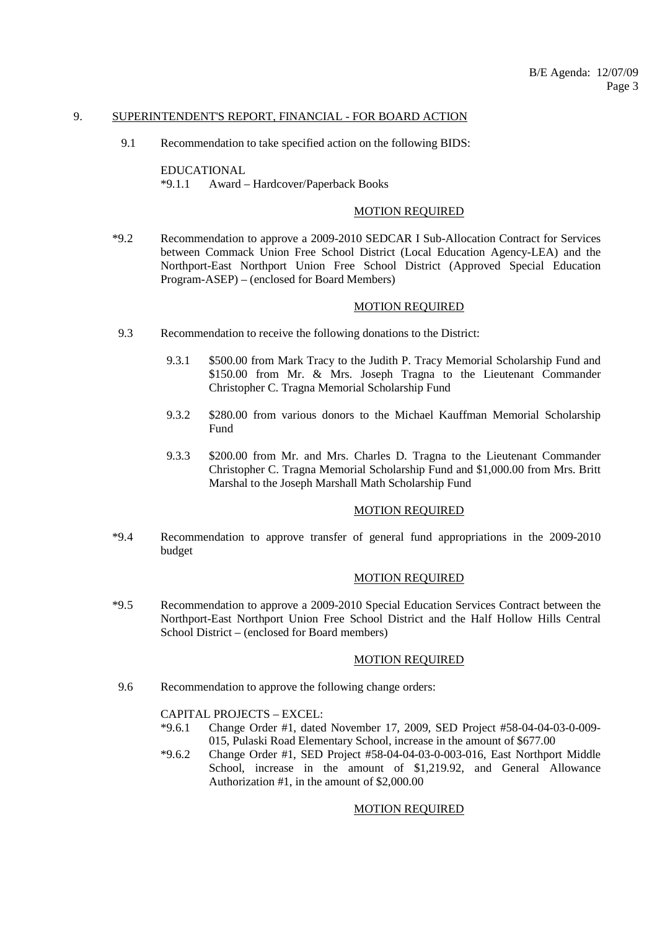#### 9. SUPERINTENDENT'S REPORT, FINANCIAL - FOR BOARD ACTION

9.1 Recommendation to take specified action on the following BIDS:

 EDUCATIONAL \*9.1.1 Award – Hardcover/Paperback Books

# MOTION REQUIRED

 \*9.2 Recommendation to approve a 2009-2010 SEDCAR I Sub-Allocation Contract for Services between Commack Union Free School District (Local Education Agency-LEA) and the Northport-East Northport Union Free School District (Approved Special Education Program-ASEP) – (enclosed for Board Members)

### MOTION REQUIRED

- 9.3 Recommendation to receive the following donations to the District:
	- 9.3.1 \$500.00 from Mark Tracy to the Judith P. Tracy Memorial Scholarship Fund and \$150.00 from Mr. & Mrs. Joseph Tragna to the Lieutenant Commander Christopher C. Tragna Memorial Scholarship Fund
	- 9.3.2 \$280.00 from various donors to the Michael Kauffman Memorial Scholarship Fund
	- 9.3.3 \$200.00 from Mr. and Mrs. Charles D. Tragna to the Lieutenant Commander Christopher C. Tragna Memorial Scholarship Fund and \$1,000.00 from Mrs. Britt Marshal to the Joseph Marshall Math Scholarship Fund

## MOTION REQUIRED

 \*9.4 Recommendation to approve transfer of general fund appropriations in the 2009-2010 budget

#### MOTION REQUIRED

 \*9.5 Recommendation to approve a 2009-2010 Special Education Services Contract between the Northport-East Northport Union Free School District and the Half Hollow Hills Central School District – (enclosed for Board members)

#### MOTION REQUIRED

9.6 Recommendation to approve the following change orders:

CAPITAL PROJECTS – EXCEL:

- \*9.6.1 Change Order #1, dated November 17, 2009, SED Project #58-04-04-03-0-009- 015, Pulaski Road Elementary School, increase in the amount of \$677.00
- $*9.6.2$  Change Order #1, SED Project #58-04-04-03-0-003-016, East Northport Middle School, increase in the amount of \$1,219.92, and General Allowance Authorization #1, in the amount of \$2,000.00

#### MOTION REQUIRED